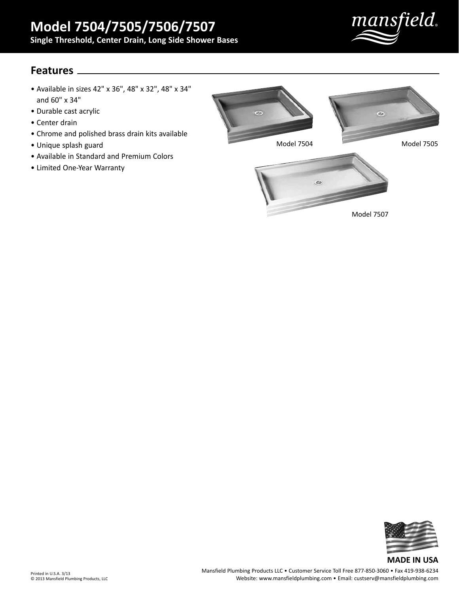mansfield.

## **Features**

- Available in sizes 42" x 36", 48" x 32", 48" x 34" and 60" x 34"
- Durable cast acrylic
- Center drain
- Chrome and polished brass drain kits available
- Unique splash guard
- Available in Standard and Premium Colors
- Limited One-Year Warranty